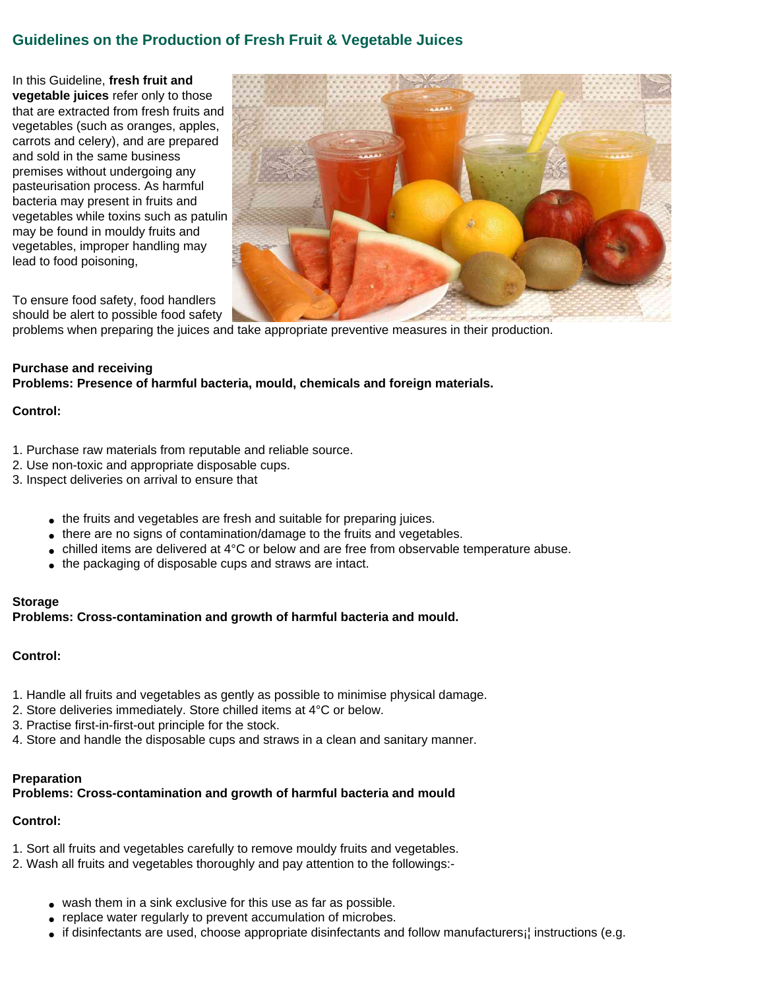# **Guidelines on the Production of Fresh Fruit & Vegetable Juices**

In this Guideline, **fresh fruit and vegetable juices** refer only to those that are extracted from fresh fruits and vegetables (such as oranges, apples, carrots and celery), and are prepared and sold in the same business premises without undergoing any pasteurisation process. As harmful bacteria may present in fruits and vegetables while toxins such as patulin may be found in mouldy fruits and vegetables, improper handling may lead to food poisoning,



To ensure food safety, food handlers should be alert to possible food safety

problems when preparing the juices and take appropriate preventive measures in their production.

# **Purchase and receiving**

**Problems: Presence of harmful bacteria, mould, chemicals and foreign materials.**

### **Control:**

- 1. Purchase raw materials from reputable and reliable source.
- 2. Use non-toxic and appropriate disposable cups.
- 3. Inspect deliveries on arrival to ensure that
	- the fruits and vegetables are fresh and suitable for preparing juices.
	- there are no signs of contamination/damage to the fruits and vegetables.
	- $\bullet$  chilled items are delivered at 4°C or below and are free from observable temperature abuse.
	- the packaging of disposable cups and straws are intact.

#### **Storage**

**Problems: Cross-contamination and growth of harmful bacteria and mould.**

# **Control:**

- 1. Handle all fruits and vegetables as gently as possible to minimise physical damage.
- 2. Store deliveries immediately. Store chilled items at 4°C or below.
- 3. Practise first-in-first-out principle for the stock.
- 4. Store and handle the disposable cups and straws in a clean and sanitary manner.

# **Preparation**

# **Problems: Cross-contamination and growth of harmful bacteria and mould**

# **Control:**

- 1. Sort all fruits and vegetables carefully to remove mouldy fruits and vegetables.
- 2. Wash all fruits and vegetables thoroughly and pay attention to the followings:-
	- wash them in a sink exclusive for this use as far as possible.
	- replace water regularly to prevent accumulation of microbes.
	- if disinfectants are used, choose appropriate disinfectants and follow manufacturers; instructions (e.g.